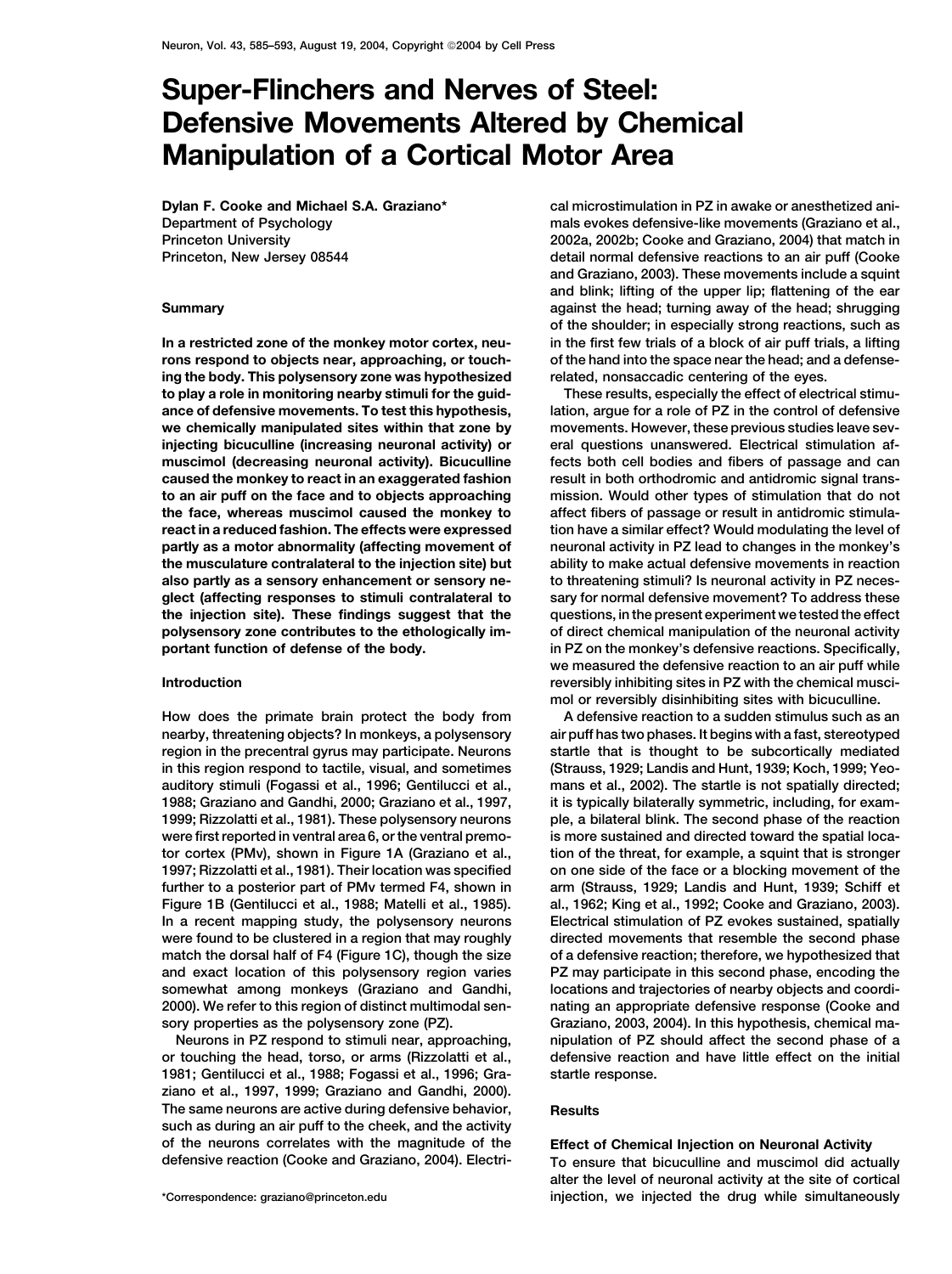# **Super-Flinchers and Nerves of Steel: Defensive Movements Altered by Chemical Manipulation of a Cortical Motor Area**

**Dylan F. Cooke and Michael S.A. Graziano\* Department of Psychology Princeton University Princeton, New Jersey 08544**

**rons respond to objects near, approaching, or touch- of the hand into the space near the head; and a defenseing the body. This polysensory zone was hypothesized related, nonsaccadic centering of the eyes. to play a role in monitoring nearby stimuli for the guid- These results, especially the effect of electrical stimuance of defensive movements. To test this hypothesis, lation, argue for a role of PZ in the control of defensive we chemically manipulated sites within that zone by movements. However, these previous studies leave sevinjecting bicuculline (increasing neuronal activity) or eral questions unanswered. Electrical stimulation afmuscimol (decreasing neuronal activity). Bicuculline fects both cell bodies and fibers of passage and can caused the monkey to react in an exaggerated fashion result in both orthodromic and antidromic signal transto an air puff on the face and to objects approaching mission. Would other types of stimulation that do not the face, whereas muscimol caused the monkey to affect fibers of passage or result in antidromic stimulareact in a reduced fashion. The effects were expressed tion have a similar effect? Would modulating the level of partly as a motor abnormality (affecting movement of neuronal activity in PZ lead to changes in the monkey's the musculature contralateral to the injection site) but ability to make actual defensive movements in reaction also partly as a sensory enhancement or sensory ne- to threatening stimuli? Is neuronal activity in PZ necesglect (affecting responses to stimuli contralateral to sary for normal defensive movement? To address these the injection site). These findings suggest that the questions, in the present experiment we tested the effect polysensory zone contributes to the ethologically im- of direct chemical manipulation of the neuronal activity portant function of defense of the body. in PZ on the monkey's defensive reactions. Specifically,**

**nearby, threatening objects? In monkeys, a polysensory air puff has two phases. It begins with a fast, stereotyped region in the precentral gyrus may participate. Neurons startle that is thought to be subcortically mediated in this region respond to tactile, visual, and sometimes (Strauss, 1929; Landis and Hunt, 1939; Koch, 1999; Yeoauditory stimuli (Fogassi et al., 1996; Gentilucci et al., mans et al., 2002). The startle is not spatially directed; 1988; Graziano and Gandhi, 2000; Graziano et al., 1997, it is typically bilaterally symmetric, including, for exam-1999; Rizzolatti et al., 1981). These polysensory neurons ple, a bilateral blink. The second phase of the reaction** were first reported in ventral area 6, or the ventral premo- is more sustained and directed toward the spatial loca**tor cortex (PMv), shown in Figure 1A (Graziano et al., tion of the threat, for example, a squint that is stronger 1997; Rizzolatti et al., 1981). Their location was specified on one side of the face or a blocking movement of the further to a posterior part of PMv termed F4, shown in arm (Strauss, 1929; Landis and Hunt, 1939; Schiff et Figure 1B (Gentilucci et al., 1988; Matelli et al., 1985). al., 1962; King et al., 1992; Cooke and Graziano, 2003). In a recent mapping study, the polysensory neurons Electrical stimulation of PZ evokes sustained, spatially** were found to be clustered in a region that may roughly directed movements that resemble the second phase **match the dorsal half of F4 (Figure 1C), though the size of a defensive reaction; therefore, we hypothesized that and exact location of this polysensory region varies PZ may participate in this second phase, encoding the somewhat among monkeys (Graziano and Gandhi, locations and trajectories of nearby objects and coordi-2000). We refer to this region of distinct multimodal sen- nating an appropriate defensive response (Cooke and sory properties as the polysensory zone (PZ). Graziano, 2003, 2004). In this hypothesis, chemical ma-**

**1981; Gentilucci et al., 1988; Fogassi et al., 1996; Gra- startle response. ziano et al., 1997, 1999; Graziano and Gandhi, 2000).** The same neurons are active during defensive behavior, **Results such as during an air puff to the cheek, and the activity of the neurons correlates with the magnitude of the Effect of Chemical Injection on Neuronal Activity**

**cal microstimulation in PZ in awake or anesthetized animals evokes defensive-like movements (Graziano et al., 2002a, 2002b; Cooke and Graziano, 2004) that match in detail normal defensive reactions to an air puff (Cooke and Graziano, 2003). These movements include a squint and blink; lifting of the upper lip; flattening of the ear Summary against the head; turning away of the head; shrugging of the shoulder; in especially strong reactions, such as In a restricted zone of the monkey motor cortex, neu- in the first few trials of a block of air puff trials, a lifting**

**we measured the defensive reaction to an air puff while Introduction** *reversibly inhibiting sites in PZ with the chemical musci***mol or reversibly disinhibiting sites with bicuculline.**

**How does the primate brain protect the body from A defensive reaction to a sudden stimulus such as an Neurons in PZ respond to stimuli near, approaching, nipulation of PZ should affect the second phase of a or touching the head, torso, or arms (Rizzolatti et al., defensive reaction and have little effect on the initial**

To ensure that bicuculline and muscimol did actually **alter the level of neuronal activity at the site of cortical \*Correspondence: graziano@princeton.edu injection, we injected the drug while simultaneously**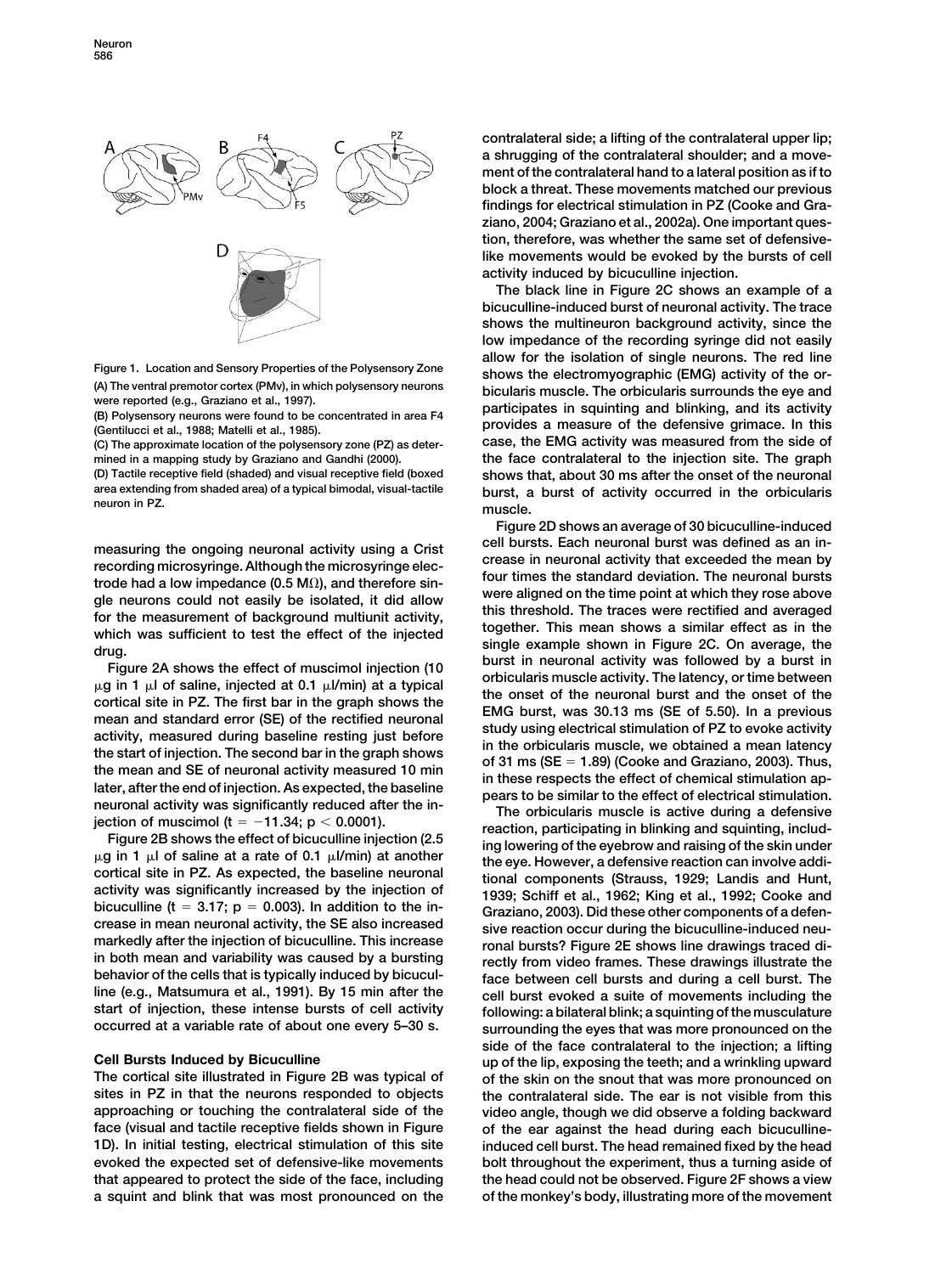

(C) The approximate location of the polysensory zone (PZ) as deter-

 $\boldsymbol{\mathsf{g}}$  in 1  $\mu$ l of saline, injected at 0.1  $\mu$  $\mu$ g in 1  $\mu$  of saline, injected at 0.1  $\mu$ /min) at a typical<br>
cortical site in PZ. The first bar in the graph shows the<br>
mean and standard error (SE) of the rectified neuronal<br>
mean and standard error (SE) of the rec

 $\mu$ g in 1  $\mu$ l of saline at a rate of 0.1  $\mu$  $\mu$ g in 1  $\mu$  of saline at a rate of 0.1  $\mu$ /min) at another<br>
cortical site in PZ. As expected, the baseline neuronal<br>
activity was significantly increased by the injection of<br>
activity was significantly increased by t **start of injection, these intense bursts of cell activity following: a bilateral blink; a squinting of the musculature**

**sites in PZ in that the neurons responded to objects the contralateral side. The ear is not visible from this approaching or touching the contralateral side of the video angle, though we did observe a folding backward face (visual and tactile receptive fields shown in Figure of the ear against the head during each bicuculline-1D). In initial testing, electrical stimulation of this site induced cell burst. The head remained fixed by the head evoked the expected set of defensive-like movements bolt throughout the experiment, thus a turning aside of that appeared to protect the side of the face, including the head could not be observed. Figure 2F shows a view a squint and blink that was most pronounced on the of the monkey's body, illustrating more of the movement**

**contralateral side; a lifting of the contralateral upper lip; a shrugging of the contralateral shoulder; and a movement of the contralateral hand to a lateral position as if to block a threat. These movements matched our previous findings for electrical stimulation in PZ (Cooke and Graziano, 2004; Graziano et al., 2002a). One important question, therefore, was whether the same set of defensivelike movements would be evoked by the bursts of cell activity induced by bicuculline injection.**

**The black line in Figure 2C shows an example of a bicuculline-induced burst of neuronal activity. The trace shows the multineuron background activity, since the low impedance of the recording syringe did not easily allow for the isolation of single neurons. The red line**<br>**Allow for the isolation of single neurons.** The red line<br>Allows the electromyographic (EMG) activity of the or-<br>Allows the electromyographic (EMG) activity of the (A) The ventral premotor cortex (PMV), in which polysensory neurons<br>
were reported (e.g., Graziano et al., 1997).<br>
(B) Polysensory neurons were found to be concentrated in area F4<br>
(B) Polysensory neurons were found to be **mined in a mapping study by Graziano and Gandhi (2000). the face contralateral to the injection site. The graph (D) Tactile receptive field (shaded) and visual receptive field (boxed shows that, about 30 ms after the onset of the neuronal area extending from shaded area) of a typical bimodal, visual-tactile burst, a burst of activity occurred in the orbicularis neuron in PZ. muscle.**

**Figure 2D shows an average of 30 bicuculline-induced** measuring the ongoing neuronal activity using a Crist cell bursts. Each neuronal burst was defined as an in-<br>recording microsyringe. Although the microsyringe elec-<br>trode had a low impedance (0.5 MΩ), and therefore sin-<br>f

**occurred at a variable rate of about one every 5–30 s. surrounding the eyes that was more pronounced on the side of the face contralateral to the injection; a lifting Cell Bursts Induced by Bicuculline up of the lip, exposing the teeth; and a wrinkling upward The cortical site illustrated in Figure 2B was typical of of the skin on the snout that was more pronounced on**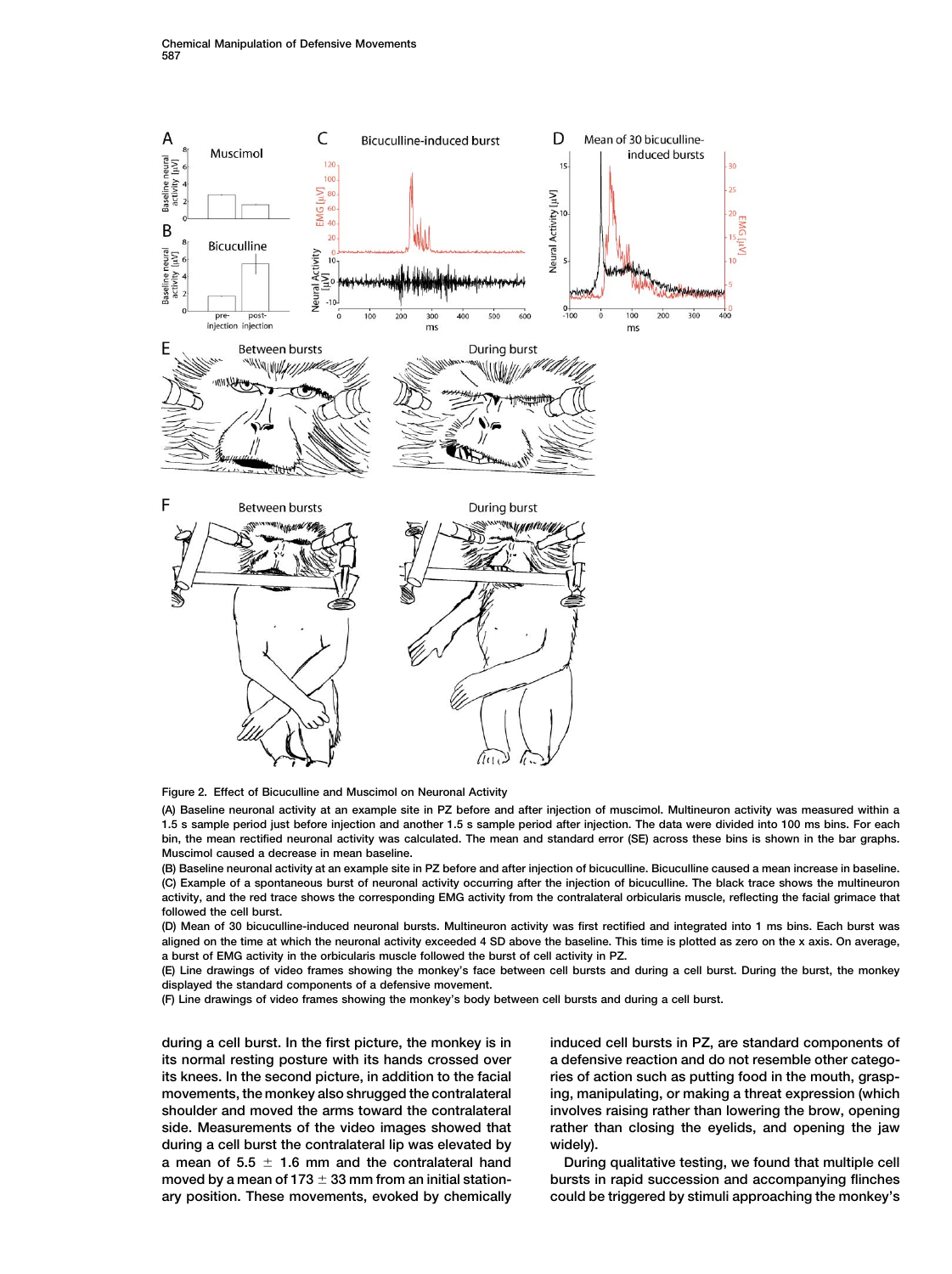

**Figure 2. Effect of Bicuculline and Muscimol on Neuronal Activity**

**(A) Baseline neuronal activity at an example site in PZ before and after injection of muscimol. Multineuron activity was measured within a 1.5 s sample period just before injection and another 1.5 s sample period after injection. The data were divided into 100 ms bins. For each bin, the mean rectified neuronal activity was calculated. The mean and standard error (SE) across these bins is shown in the bar graphs. Muscimol caused a decrease in mean baseline.**

**(B) Baseline neuronal activity at an example site in PZ before and after injection of bicuculline. Bicuculline caused a mean increase in baseline. (C) Example of a spontaneous burst of neuronal activity occurring after the injection of bicuculline. The black trace shows the multineuron activity, and the red trace shows the corresponding EMG activity from the contralateral orbicularis muscle, reflecting the facial grimace that followed the cell burst.**

**(D) Mean of 30 bicuculline-induced neuronal bursts. Multineuron activity was first rectified and integrated into 1 ms bins. Each burst was aligned on the time at which the neuronal activity exceeded 4 SD above the baseline. This time is plotted as zero on the x axis. On average, a burst of EMG activity in the orbicularis muscle followed the burst of cell activity in PZ.**

**(E) Line drawings of video frames showing the monkey's face between cell bursts and during a cell burst. During the burst, the monkey displayed the standard components of a defensive movement.**

**(F) Line drawings of video frames showing the monkey's body between cell bursts and during a cell burst.**

**its normal resting posture with its hands crossed over a defensive reaction and do not resemble other categoits knees. In the second picture, in addition to the facial ries of action such as putting food in the mouth, graspmovements, the monkey also shrugged the contralateral ing, manipulating, or making a threat expression (which shoulder and moved the arms toward the contralateral involves raising rather than lowering the brow, opening side. Measurements of the video images showed that rather than closing the eyelids, and opening the jaw during a cell burst the contralateral lip was elevated by widely). a mean of 5.5 1.6 mm and the contralateral hand During qualitative testing, we found that multiple cell moved by a mean of 173 33 mm from an initial station- bursts in rapid succession and accompanying flinches ary position. These movements, evoked by chemically could be triggered by stimuli approaching the monkey's**

**during a cell burst. In the first picture, the monkey is in induced cell bursts in PZ, are standard components of**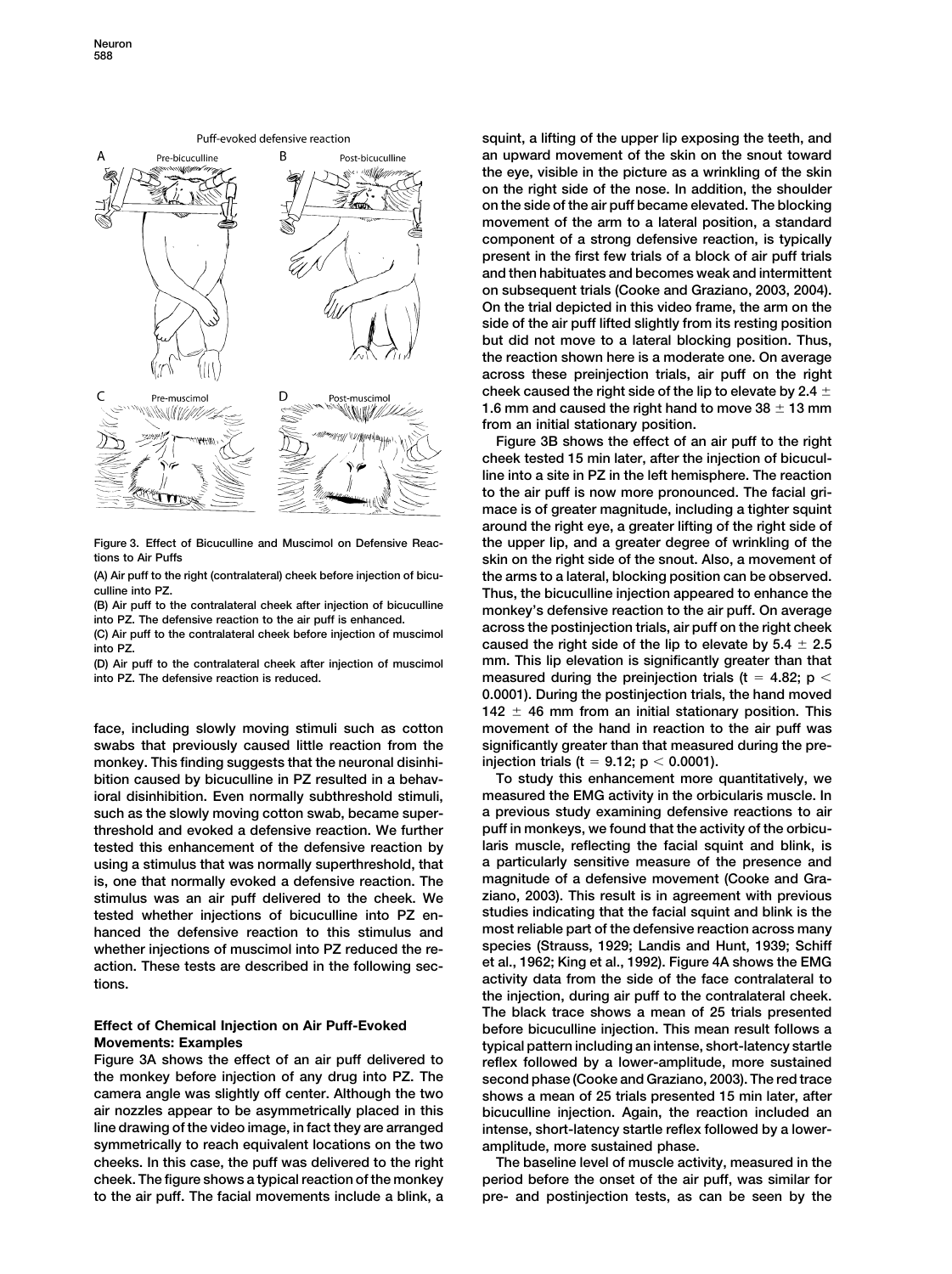

**face, including slowly moving stimuli such as cotton movement of the hand in reaction to the air puff was swabs that previously caused little reaction from the significantly greater than that measured during the pre**monkey. This finding suggests that the neuronal disinhi-<br> $\qquad$  injection trials (t = 9.12; p < 0.0001). **bition caused by bicuculline in PZ resulted in a behav- To study this enhancement more quantitatively, we ioral disinhibition. Even normally subthreshold stimuli, measured the EMG activity in the orbicularis muscle. In such as the slowly moving cotton swab, became super- a previous study examining defensive reactions to air** threshold and evoked a defensive reaction. We further **tested this enhancement of the defensive reaction by laris muscle, reflecting the facial squint and blink, is using a stimulus that was normally superthreshold, that** is, one that normally evoked a defensive reaction. The magnitude of a defensive movement (Cooke and Gra-<br>stimulus was an air puff delivered to the cheek. We ziano, 2003). This result is in agreement with previous **stimulus was an air puff delivered to the cheek. We ziano, 2003). This result is in agreement with previous tested whether injections of bicuculline into PZ en- studies indicating that the facial squint and blink is the hanced the defensive reaction to this stimulus and most reliable part of the defensive reaction across many whether injections of muscimol into PZ reduced the re- species (Strauss, 1929; Landis and Hunt, 1939; Schiff action. These tests are described in the following sec- et al., 1962; King et al., 1992). Figure 4A shows the EMG activity data from the side of the face contralateral to tions.** 

**camera angle was slightly off center. Although the two shows a mean of 25 trials presented 15 min later, after air nozzles appear to be asymmetrically placed in this bicuculline injection. Again, the reaction included an line drawing of the video image, in fact they are arranged intense, short-latency startle reflex followed by a lowersymmetrically to reach equivalent locations on the two amplitude, more sustained phase. cheeks. In this case, the puff was delivered to the right The baseline level of muscle activity, measured in the cheek. The figure shows a typical reaction of the monkey period before the onset of the air puff, was similar for to the air puff. The facial movements include a blink, a pre- and postinjection tests, as can be seen by the**

**squint, a lifting of the upper lip exposing the teeth, and an upward movement of the skin on the snout toward the eye, visible in the picture as a wrinkling of the skin on the right side of the nose. In addition, the shoulder on the side of the air puff became elevated. The blocking movement of the arm to a lateral position, a standard component of a strong defensive reaction, is typically present in the first few trials of a block of air puff trials and then habituates and becomes weak and intermittent on subsequent trials (Cooke and Graziano, 2003, 2004). On the trial depicted in this video frame, the arm on the side of the air puff lifted slightly from its resting position but did not move to a lateral blocking position. Thus, the reaction shown here is a moderate one. On average across these preinjection trials, air puff on the right cheek caused the right side of the lip to elevate by 2.4 1.6 mm and caused the right hand to move 38 13 mm from an initial stationary position.**

**Figure 3B shows the effect of an air puff to the right cheek tested 15 min later, after the injection of bicuculline into a site in PZ in the left hemisphere. The reaction to the air puff is now more pronounced. The facial grimace is of greater magnitude, including a tighter squint around the right eye, a greater lifting of the right side of Figure 3. Effect of Bicuculline and Muscimol on Defensive Reac- the upper lip, and a greater degree of wrinkling of the tions to Air Puffs skin on the right side of the snout. Also, a movement of (A) Air puff to the right (contralateral) cheek before injection of bicu- the arms to a lateral, blocking position can be observed.** culline into PZ.<br>
(B) Air puff to the contralateral cheek after injection of bicuculline<br>
into PZ. The defensive reaction to the air puff is enhanced.<br>
(C) Air puff to the contralateral cheek before injection of muscimol<br> **(D) Air puff to the contralateral cheek after injection of muscimol mm. This lip elevation is significantly greater than that** into PZ. The defensive reaction is reduced. **measured during the preinjection trials (t** = 4.82; p < **0.0001). During the postinjection trials, the hand moved 142**  $\pm$  46 mm from an initial stationary position. This

**the injection, during air puff to the contralateral cheek. The black trace shows a mean of 25 trials presented Effect of Chemical Injection on Air Puff-Evoked before bicuculline injection. This mean result follows a Movements: Examples typical pattern including an intense, short-latency startle Figure 3A shows the effect of an air puff delivered to reflex followed by a lower-amplitude, more sustained** second phase (Cooke and Graziano, 2003). The red trace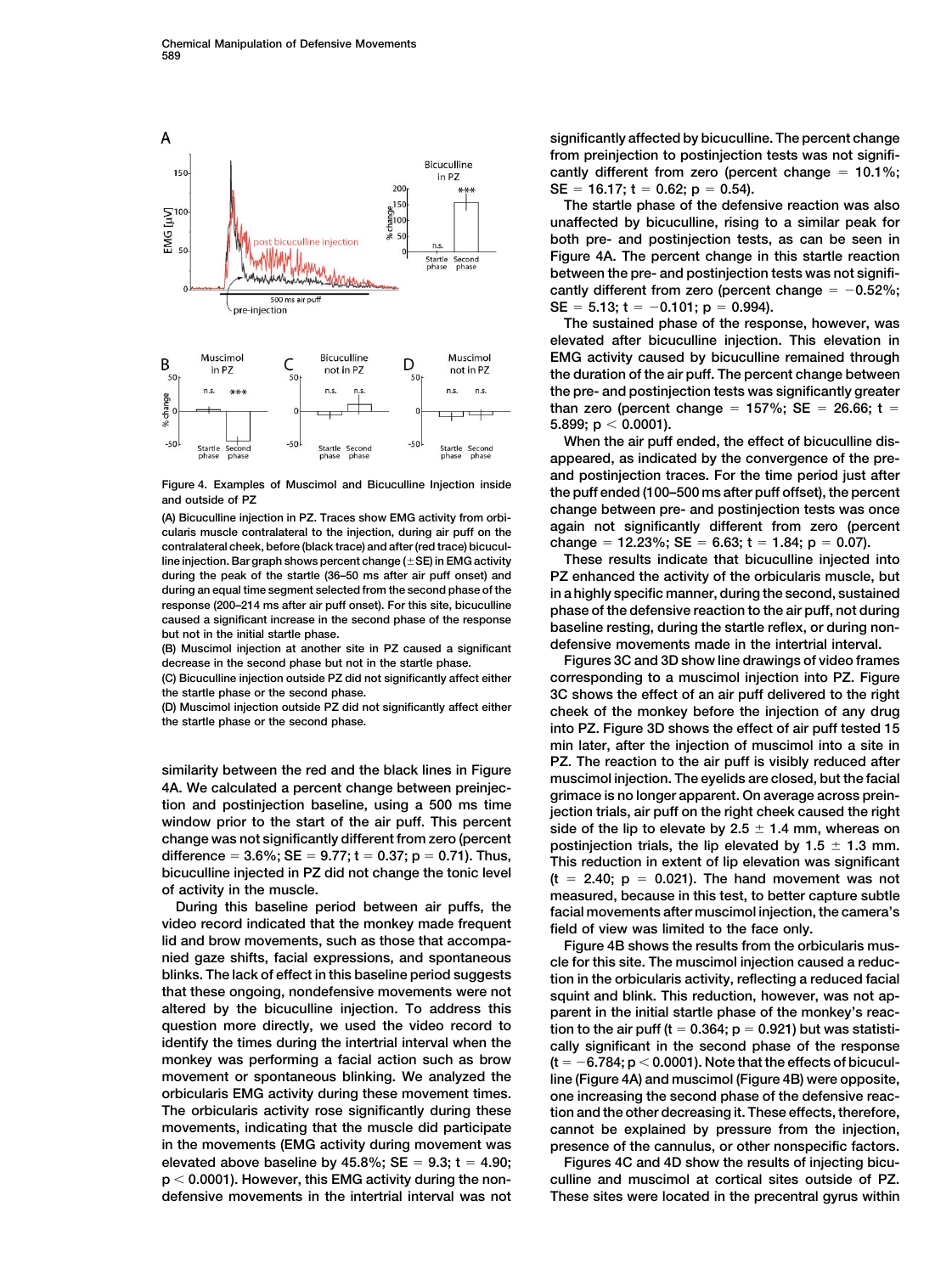

**contralateral cheek, before (black trace) and after (red trace) bicucul- change 12.23%; SE 6.63; t 1.84; p 0.07). line injection. Bar graph shows percent change (** $\pm$ **SE) in EMG activity** 

difference =  $3.6\%$ ; SE =  $9.77$ ; t = 0.37; p = 0.71). Thus,<br>bicuculline injected in PZ did not change the tonic level<br>of activity in the muscle.<br>of activity in the muscle.<br>During this baseline period between air puffs, blinks. The lack of effect in this baseline period suggests<br>that these ongoing, nondefensive movements were not<br>altered by the bicuculline injection. To address this parent in the initial startle phase of the monkey's reac **altered by the bicuculline injection. To address this parent in the initial startle phase of the monkey's reacquestion more directly, we used the video record to tion to the air puff (t 0.364; p 0.921) but was statistiidentify the times during the intertrial interval when the cally significant in the second phase of the response** monkey was performing a facial action such as brow  $(t = -6.784; p < 0.0001)$ . Note that the effects of bicucul-<br>movement or spontaneous blinking. We analyzed the line (Figure 4A) and muscimol (Figure 4B) were opposite, **orbicularis EMG activity during these movement times. one increasing the second phase of the defensive reac-The orbicularis activity rose significantly during these tion and the other decreasing it. These effects, therefore, movements, indicating that the muscle did participate cannot be explained by pressure from the injection, in the movements (EMG activity during movement was presence of the cannulus, or other nonspecific factors. elevated above baseline by 45.8%;**  $SE = 9.3$ **;**  $t = 4.90$ **;** Figures 4C and 4D show the results of injecting bicu**p 0.0001). However, this EMG activity during the non- culline and muscimol at cortical sites outside of PZ.**

**significantly affected by bicuculline. The percent change from preinjection to postinjection tests was not significantly different from zero (percent change 10.1%;**  $SE = 16.17$ ;  $t = 0.62$ ;  $p = 0.54$ ).

**The startle phase of the defensive reaction was also unaffected by bicuculline, rising to a similar peak for both pre- and postinjection tests, as can be seen in Figure 4A. The percent change in this startle reaction between the pre- and postinjection tests was not signifi**cantly different from zero (percent change  $= -0.52\%$ ;  $SE = 5.13$ ;  $t = -0.101$ ;  $p = 0.994$ ).

**The sustained phase of the response, however, was elevated after bicuculline injection. This elevation in EMG activity caused by bicuculline remained through the duration of the air puff. The percent change between the pre- and postinjection tests was significantly greater than zero (percent change = 157%; SE = 26.66; t = 5.899; p 0.0001).**

**When the air puff ended, the effect of bicuculline disappeared, as indicated by the convergence of the pre-**Figure 4. Examples of Muscimol and Bicuculline Injection inside<br>and outside of PZ<br>consider the puff ended (100–500 ms after puff offset), the percent<br>change between pre- and postiniection tests was once (A) Bicuculline injection in PZ. Traces show EMG activity from orbi-<br>cularis muscle contralateral to the injection, during air puff on the again not significantly different from zero (percent<br>contralateral check before (b

**during the peak of the startle (36–50 ms after air puff onset) and PZ enhanced the activity of the orbicularis muscle, but** during an equal time segment selected from the second phase of the in a highly specific manner, during the second, sustained<br>
response (200–214 ms after air puff onset). For this site, bicuculline<br>
cusued a significant bro

**decrease in the second phase but not in the startle phase. Figures 3C and 3D show line drawings of video frames (C) Bicuculline injection outside PZ did not significantly affect either corresponding to a muscimol injection into PZ. Figure the startle phase or the second phase. 3C shows the effect of an air puff delivered to the right** (D) Muscimol injection outside PZ did not significantly affect either cheek of the monkey before the injection of any drug<br>into PZ. Figure 3D shows the effect of air puff tested 15 **min later, after the injection of muscimol into a site in** similarity between the red and the black lines in Figure<br>4A. We calculated a percent change between preinjec-<br>4A. We calculated a percent change between preinjec-<br>tion and postinjection baseline, using a 500 ms time<br>windo

line (Figure 4A) and muscimol (Figure 4B) were opposite,

**defensive movements in the intertrial interval was not These sites were located in the precentral gyrus within**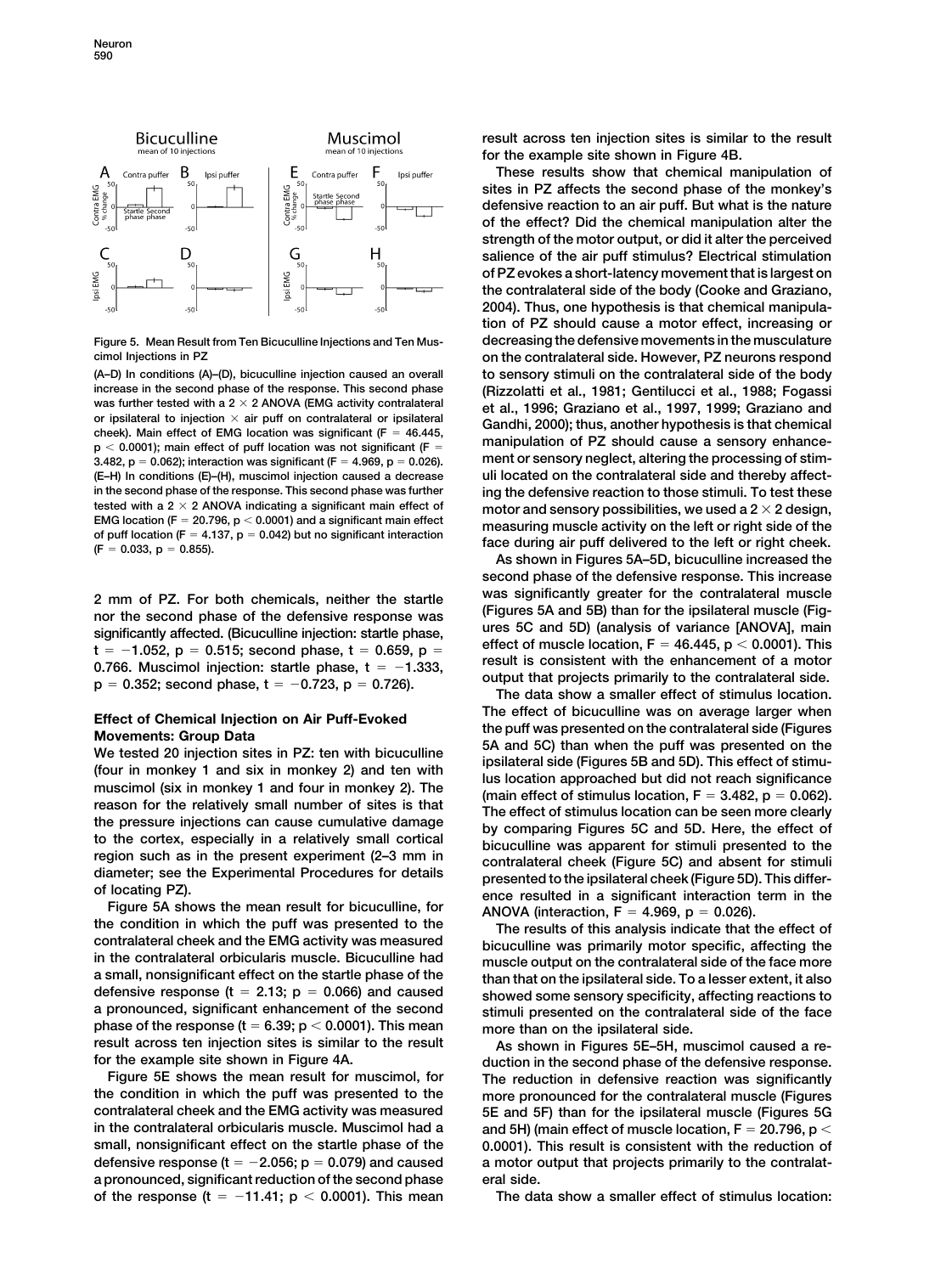

**increase in the second phase of the response. This second phase (Rizzolatti et al., 1981; Gentilucci et al., 1988; Fogassi** was further tested with a 2  $\times$  2 ANOVA (EMG activity contralateral<br>
or ipsilateral to injection  $\times$  air puff on contralateral or ipsilateral<br>
cheek). Main effect of EMG location was significant (F = 46.445,<br>  $\times$  0.000 **3.482, p** = 0.062); interaction was significant (F = 4.969, p = 0.026). **(E–H) In conditions (E)–(H), muscimol injection caused a decrease uli located on the contralateral side and thereby affectin the second phase of the response. This second phase was further ing the defensive reaction to those stimuli. To test these** tested with a 2  $\times$  2 ANOVA indicating a significant main effect of motor and sensory possibilities, we used a 2  $\times$  2 design,<br>EMG location (F = 20.796, p < 0.0001) and a significant main effect of pure assuring muscle

2 mm of PZ. For both chemicals, neither the startle<br>nor the second phase of the defensive response was<br>significantly greater for the contralateral muscle (Fig-<br>significantly affected. (Bicuculline injection: startle phase

In the contralateral orbicularis muscle. Bicuculine had<br>a small, nonsignificant effect on the startle phase of the<br>defensive response ( $t = 2.13$ ;  $p = 0.066$ ) and caused<br>showed some sensory specificity, affecting reactions **defensive response (t 2.13; p 0.066) and caused showed some sensory specificity, affecting reactions to phase of the response (t = 6.39;**  $p < 0.0001$ **). This mean result across ten injection sites is similar to the result result across ten injection sites is similar to the result As shown in Figures 5E–5H, muscimol caused a re-**

**a pronounced, significant reduction of the second phase eral side. of the response (t 11.41; p 0.0001). This mean The data show a smaller effect of stimulus location:**

**result across ten injection sites is similar to the result for the example site shown in Figure 4B.**

**These results show that chemical manipulation of sites in PZ affects the second phase of the monkey's defensive reaction to an air puff. But what is the nature of the effect? Did the chemical manipulation alter the strength of the motor output, or did it alter the perceived salience of the air puff stimulus? Electrical stimulation of PZ evokes a short-latency movement that is largest on the contralateral side of the body (Cooke and Graziano, 2004). Thus, one hypothesis is that chemical manipulation of PZ should cause a motor effect, increasing or Figure 5. Mean Result from Ten Bicuculline Injections and Ten Mus- decreasing the defensive movements in the musculature cimol Injections in PZ on the contralateral side. However, PZ neurons respond (A–D) In conditions (A)–(D), bicuculline injection caused an overall to sensory stimuli on the contralateral side of the body**

**second phase of the defensive response. This increase**

Effect of Chemical Injection on Air Puff-Evoked<br>
Movements: Group Data<br>
We tested 20 injection sites in PZ: ten with bicuculline<br>
We tested 20 injection sites in PZ: ten with bicuculline<br>
We tested 20 injection sites in P2

stimuli presented on the contralateral side of the face more than on the ipsilateral side.

**for the example site shown in Figure 4A. duction in the second phase of the defensive response.** The reduction in defensive reaction was significantly **the condition in which the puff was presented to the more pronounced for the contralateral muscle (Figures contralateral cheek and the EMG activity was measured 5E and 5F) than for the ipsilateral muscle (Figures 5G in the contralateral orbicularis muscle. Muscimol had a and 5H) (main effect of muscle location, F 20.796, p small, nonsignificant effect on the startle phase of the 0.0001). This result is consistent with the reduction of** defensive response ( $t = -2.056$ ;  $p = 0.079$ ) and caused a motor output that projects primarily to the contralat-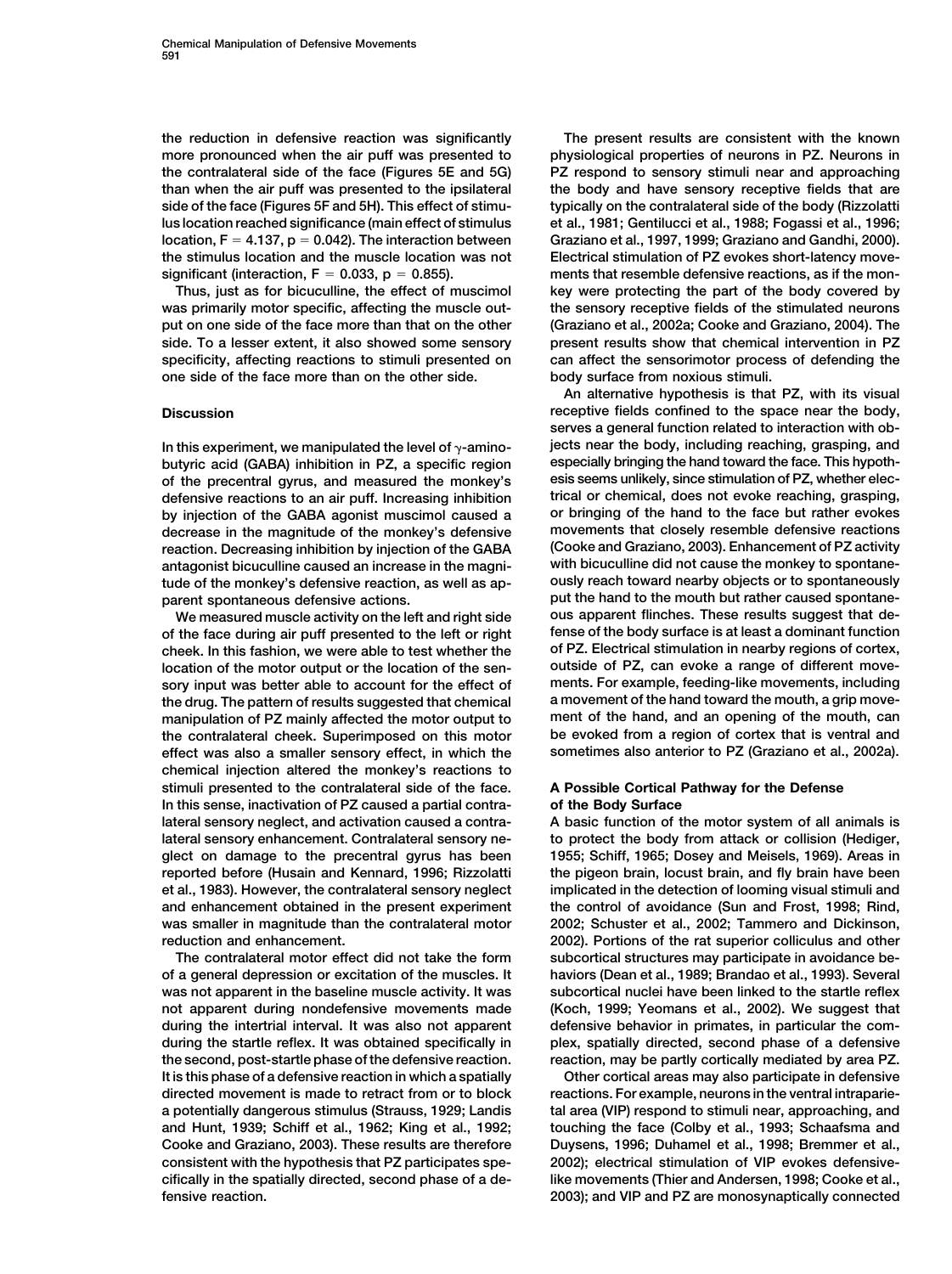**the reduction in defensive reaction was significantly The present results are consistent with the known more pronounced when the air puff was presented to physiological properties of neurons in PZ. Neurons in the contralateral side of the face (Figures 5E and 5G) PZ respond to sensory stimuli near and approaching than when the air puff was presented to the ipsilateral the body and have sensory receptive fields that are side of the face (Figures 5F and 5H). This effect of stimu- typically on the contralateral side of the body (Rizzolatti lus location reached significance (main effect of stimulus et al., 1981; Gentilucci et al., 1988; Fogassi et al., 1996; location, F 4.137, p 0.042). The interaction between Graziano et al., 1997, 1999; Graziano and Gandhi, 2000). the stimulus location and the muscle location was not Electrical stimulation of PZ evokes short-latency move-**

**was primarily motor specific, affecting the muscle out- the sensory receptive fields of the stimulated neurons put on one side of the face more than that on the other (Graziano et al., 2002a; Cooke and Graziano, 2004). The side. To a lesser extent, it also showed some sensory present results show that chemical intervention in PZ specificity, affecting reactions to stimuli presented on can affect the sensorimotor process of defending the one side of the face more than on the other side. body surface from noxious stimuli.**

**butyric acid (GABA) inhibition in PZ, a specific region especially bringing the hand toward the face. This hypothof the precentral gyrus, and measured the monkey's esis seems unlikely, since stimulation of PZ, whether elecdefensive reactions to an air puff. Increasing inhibition trical or chemical, does not evoke reaching, grasping, by injection of the GABA agonist muscimol caused a or bringing of the hand to the face but rather evokes decrease in the magnitude of the monkey's defensive movements that closely resemble defensive reactions reaction. Decreasing inhibition by injection of the GABA (Cooke and Graziano, 2003). Enhancement of PZ activity antagonist bicuculline caused an increase in the magni- with bicuculline did not cause the monkey to spontane**tude of the monkey's defensive reaction, as well as ap-

**of the face during air puff presented to the left or right fense of the body surface is at least a dominant function** cheek. In this fashion, we were able to test whether the **location of the motor output or the location of the sen- outside of PZ, can evoke a range of different movesory input was better able to account for the effect of ments. For example, feeding-like movements, including the drug. The pattern of results suggested that chemical manipulation of PZ mainly affected the motor output to ment of the hand, and an opening of the mouth, can the contralateral cheek. Superimposed on this motor be evoked from a region of cortex that is ventral and effect was also a smaller sensory effect, in which the chemical injection altered the monkey's reactions to stimuli presented to the contralateral side of the face. A Possible Cortical Pathway for the Defense In this sense, inactivation of PZ caused a partial contra- of the Body Surface lateral sensory neglect, and activation caused a contra- A basic function of the motor system of all animals is lateral sensory enhancement. Contralateral sensory ne- to protect the body from attack or collision (Hediger, glect on damage to the precentral gyrus has been 1955; Schiff, 1965; Dosey and Meisels, 1969). Areas in reported before (Husain and Kennard, 1996; Rizzolatti the pigeon brain, locust brain, and fly brain have been et al., 1983). However, the contralateral sensory neglect implicated in the detection of looming visual stimuli and and enhancement obtained in the present experiment the control of avoidance (Sun and Frost, 1998; Rind, was smaller in magnitude than the contralateral motor 2002; Schuster et al., 2002; Tammero and Dickinson, reduction and enhancement. 2002). Portions of the rat superior colliculus and other**

**of a general depression or excitation of the muscles. It haviors (Dean et al., 1989; Brandao et al., 1993). Several** was not apparent in the baseline muscle activity. It was subcortical nuclei have been linked to the startle reflex **not apparent during nondefensive movements made (Koch, 1999; Yeomans et al., 2002). We suggest that during the intertrial interval. It was also not apparent defensive behavior in primates, in particular the comduring the startle reflex. It was obtained specifically in plex, spatially directed, second phase of a defensive the second, post-startle phase of the defensive reaction. reaction, may be partly cortically mediated by area PZ. directed movement is made to retract from or to block reactions. For example, neurons in the ventral intraparie-Cooke and Graziano, 2003). These results are therefore Duysens, 1996; Duhamel et al., 1998; Bremmer et al., consistent with the hypothesis that PZ participates spe- 2002); electrical stimulation of VIP evokes defensivecifically in the spatially directed, second phase of a de- like movements (Thier and Andersen, 1998; Cooke et al.,**

**significant (interaction, F 0.033, p 0.855). ments that resemble defensive reactions, as if the mon-Thus, just as for bicuculline, the effect of muscimol key were protecting the part of the body covered by**

**An alternative hypothesis is that PZ, with its visual Discussion receptive fields confined to the space near the body, serves a general function related to interaction with ob-In this experiment, we manipulated the level of -amino- jects near the body, including reaching, grasping, and parent spontaneous defensive actions. put the hand to the mouth but rather caused spontane-We measured muscle activity on the left and right side ous apparent flinches. These results suggest that de-**

**The contralateral motor effect did not take the form subcortical structures may participate in avoidance be-**

**It is this phase of a defensive reaction in which a spatially Other cortical areas may also participate in defensive a potentially dangerous stimulus (Strauss, 1929; Landis tal area (VIP) respond to stimuli near, approaching, and and Hunt, 1939; Schiff et al., 1962; King et al., 1992; touching the face (Colby et al., 1993; Schaafsma and fensive reaction. 2003); and VIP and PZ are monosynaptically connected**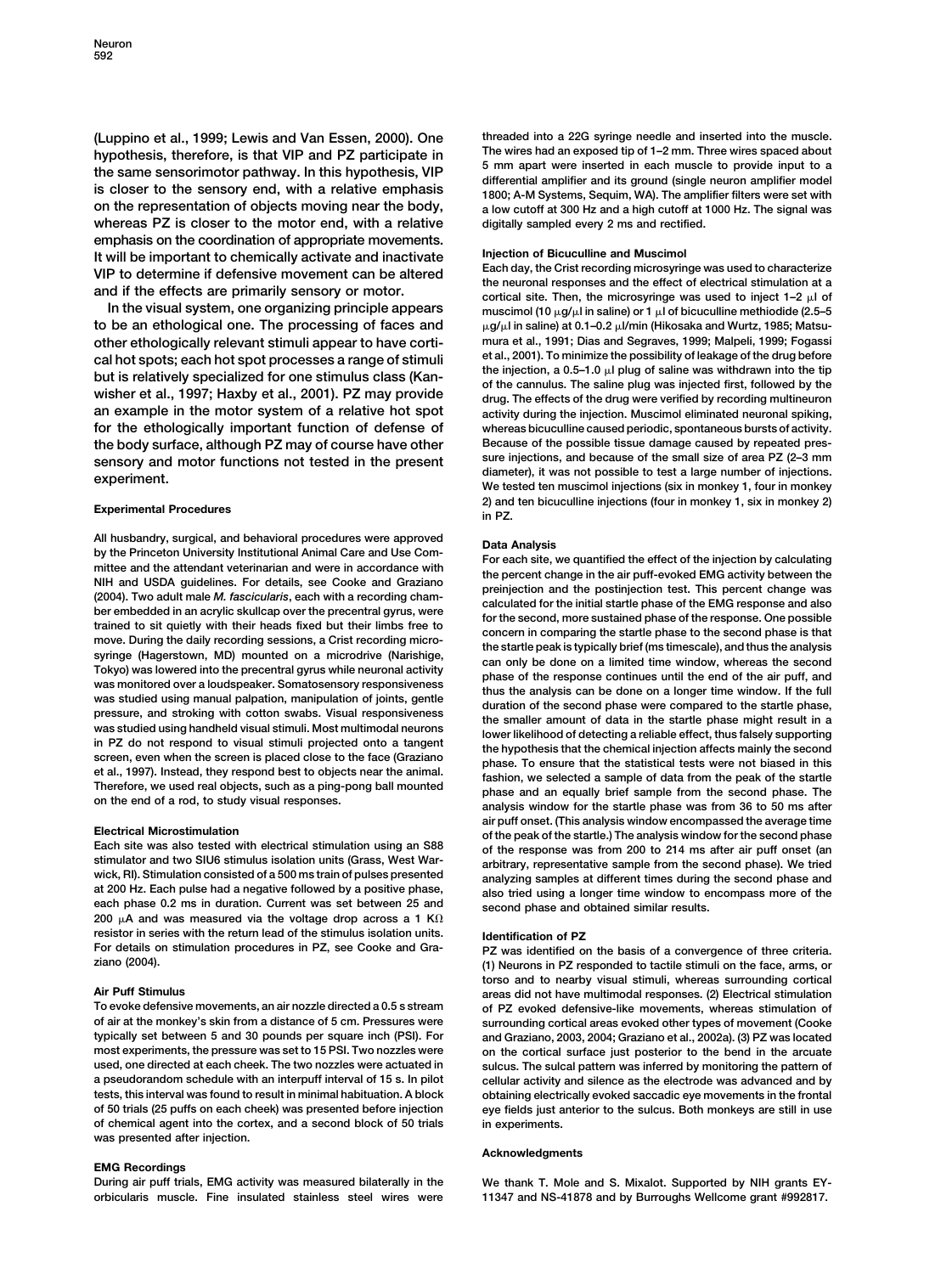hypothesis, therefore, is that VIP and PZ participate in The wires had an exposed tip of 1–2 mm. Three wires spaced about<br>the same sensorimotor pathway. In this hypothesis, VIP <sup>5</sup> mm apart were inserted in each muscle to **on the representation of objects moving near the body, a low cutoff at 300 Hz and a high cutoff at 1000 Hz. The signal was whereas PZ is closer to the motor end, with a relative digitally sampled every 2 ms and rectified. emphasis on the coordination of appropriate movements.** It will be important to chemically activate and inactivate<br>VIP to determine if defensive movement can be altered<br>and if the effects are primarily sensory or motor.<br>Then the microsyring was used to characterize<br>cortical sit

**In the visual system, one organizing principle appears muscimol (10** to be an ethological one. The processing of faces and **other ethologically relevant stimuli appear to have corti- mura et al., 1991; Dias and Segraves, 1999; Malpeli, 1999; Fogassi et al., 2001).** To minimize the possibility of leakage of the drug before<br>but is relatively specialized for one stimulus class (Kan-<br>the injection, a 0.5–1.0 ull plug of saline was withdrawn into the tip wisher et al., 1997; Haxby et al., 2001). PZ may provide of the cannulus. The saline plug was injected first, followed by the visher et al., 1997; Haxby et al., 2001). PZ may provide **an example in the motor system of a relative hot spot activity during the injection. Muscimol eliminated neuronal spiking, for the ethologically important function of defense of whereas bicuculline caused periodic, spontaneous bursts of activity. Because of the possible tissue damage caused by repeated pres- the body surface, although PZ may of course have other sensory and motor functions not tested in the present sure injections, and because of the small size of area PZ (2–3 mm**

All husbandry, surgical, and behavioral procedures were approved<br>
by the Princeton University Institutional Animal Care and Use Com-<br>
by the Princeton diviersity Institutional Animal Care and Use Com-<br>
htte encrot site, we

200  $\mu$ A and was measured via the voltage drop across a 1 K $\Omega$ **resistor in series with the return lead of the stimulus isolation units. Indentification of PZ<br>For details on stimulation procedures in PZ, see Cooke and Gra-<br>primary leadstrified of For details on stimulation procedures in PZ, see Cooke and Gra- PZ was identified on the basis of a convergence of three criteria.**

**To evoke defensive movements, an air nozzle directed a 0.5 s stream of PZ evoked defensive-like movements, whereas stimulation of of air at the monkey's skin from a distance of 5 cm. Pressures were surrounding cortical areas evoked other types of movement (Cooke typically set between 5 and 30 pounds per square inch (PSI). For and Graziano, 2003, 2004; Graziano et al., 2002a). (3) PZ was located most experiments, the pressure was set to 15 PSI. Two nozzles were on the cortical surface just posterior to the bend in the arcuate used, one directed at each cheek. The two nozzles were actuated in sulcus. The sulcal pattern was inferred by monitoring the pattern of a pseudorandom schedule with an interpuff interval of 15 s. In pilot cellular activity and silence as the electrode was advanced and by tests, this interval was found to result in minimal habituation. A block obtaining electrically evoked saccadic eye movements in the frontal of chemical agent into the cortex, and a second block of 50 trials in experiments. was presented after injection.**

## **EMG Recordings**

**During air puff trials, EMG activity was measured bilaterally in the We thank T. Mole and S. Mixalot. Supported by NIH grants EYorbicularis muscle. Fine insulated stainless steel wires were 11347 and NS-41878 and by Burroughs Wellcome grant #992817.**

**threaded into a 22G syringe needle and inserted into the muscle. (Luppino et al., 1999; Lewis and Van Essen, 2000). One**

cortical site. Then, the microsyringe was used to inject  $1-2$   $\mu$ l of **g/**-**l in saline) or 1** -**l of bicuculline methiodide (2.5–5** g/ $\mu$ l in saline) at 0.1–0.2  $\mu$ l/min (Hikosaka and Wurtz, 1985; Matsu**diameter), it was not possible to test a large number of injections. experiment. We tested ten muscimol injections (six in monkey 1, four in monkey 2) and ten bicuculline injections (four in monkey 1, six in monkey 2) Experimental Procedures in PZ.**

Electrical Microstimulation<br>
Each site was also tested with electrical stimulation using an S88<br>
stimulator and two SIU6 stimulation sing an S88<br>
stimulator and two SIU6 stimulation sing and S88<br>
stimulation consisted of a

**ziano (2004). (1) Neurons in PZ responded to tactile stimuli on the face, arms, or torso and to nearby visual stimuli, whereas surrounding cortical Air Puff Stimulus areas did not have multimodal responses. (2) Electrical stimulation** eye fields just anterior to the sulcus. Both monkeys are still in use

### **Acknowledgments**